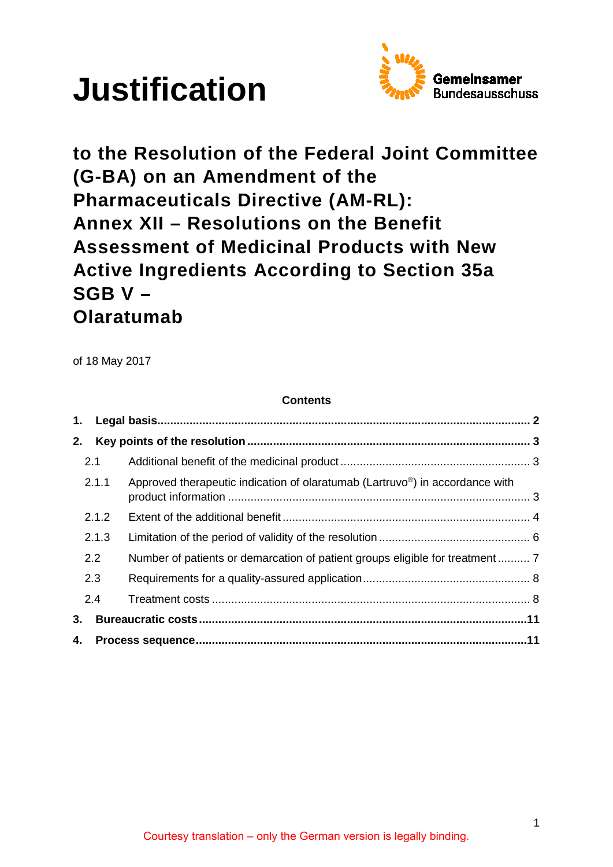



**to the Resolution of the Federal Joint Committee (G-BA) on an Amendment of the Pharmaceuticals Directive (AM-RL): Annex XII – Resolutions on the Benefit Assessment of Medicinal Products with New Active Ingredients According to Section 35a SGB V – Olaratumab** 

of 18 May 2017

## **Contents**

| 2. |       |                                                                                           |  |
|----|-------|-------------------------------------------------------------------------------------------|--|
|    | 2.1   |                                                                                           |  |
|    | 2.1.1 | Approved therapeutic indication of olaratumab (Lartruvo <sup>®</sup> ) in accordance with |  |
|    | 2.1.2 |                                                                                           |  |
|    | 2.1.3 |                                                                                           |  |
|    | 2.2   | Number of patients or demarcation of patient groups eligible for treatment 7              |  |
|    | 2.3   |                                                                                           |  |
|    | 2.4   |                                                                                           |  |
|    |       |                                                                                           |  |
|    |       |                                                                                           |  |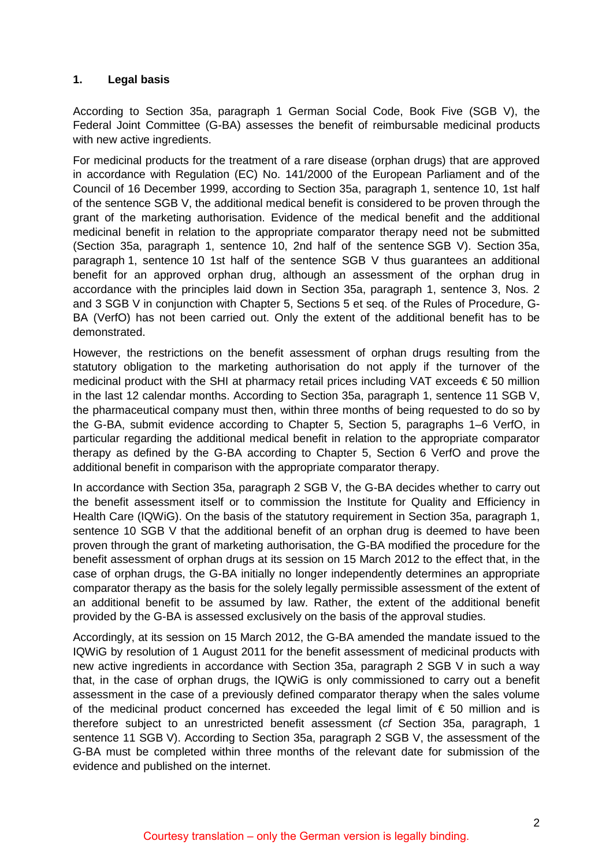### <span id="page-1-0"></span>**1. Legal basis**

According to Section 35a, paragraph 1 German Social Code, Book Five (SGB V), the Federal Joint Committee (G-BA) assesses the benefit of reimbursable medicinal products with new active ingredients.

For medicinal products for the treatment of a rare disease (orphan drugs) that are approved in accordance with Regulation (EC) No. 141/2000 of the European Parliament and of the Council of 16 December 1999, according to Section 35a, paragraph 1, sentence 10, 1st half of the sentence SGB V, the additional medical benefit is considered to be proven through the grant of the marketing authorisation. Evidence of the medical benefit and the additional medicinal benefit in relation to the appropriate comparator therapy need not be submitted (Section 35a, paragraph 1, sentence 10, 2nd half of the sentence SGB V). Section 35a, paragraph 1, sentence 10 1st half of the sentence SGB V thus guarantees an additional benefit for an approved orphan drug, although an assessment of the orphan drug in accordance with the principles laid down in Section 35a, paragraph 1, sentence 3, Nos. 2 and 3 SGB V in conjunction with Chapter 5, Sections 5 et seq. of the Rules of Procedure, G-BA (VerfO) has not been carried out. Only the extent of the additional benefit has to be demonstrated.

However, the restrictions on the benefit assessment of orphan drugs resulting from the statutory obligation to the marketing authorisation do not apply if the turnover of the medicinal product with the SHI at pharmacy retail prices including VAT exceeds € 50 million in the last 12 calendar months. According to Section 35a, paragraph 1, sentence 11 SGB V, the pharmaceutical company must then, within three months of being requested to do so by the G-BA, submit evidence according to Chapter 5, Section 5, paragraphs 1–6 VerfO, in particular regarding the additional medical benefit in relation to the appropriate comparator therapy as defined by the G-BA according to Chapter 5, Section 6 VerfO and prove the additional benefit in comparison with the appropriate comparator therapy.

In accordance with Section 35a, paragraph 2 SGB V, the G-BA decides whether to carry out the benefit assessment itself or to commission the Institute for Quality and Efficiency in Health Care (IQWiG). On the basis of the statutory requirement in Section 35a, paragraph 1, sentence 10 SGB V that the additional benefit of an orphan drug is deemed to have been proven through the grant of marketing authorisation, the G-BA modified the procedure for the benefit assessment of orphan drugs at its session on 15 March 2012 to the effect that, in the case of orphan drugs, the G-BA initially no longer independently determines an appropriate comparator therapy as the basis for the solely legally permissible assessment of the extent of an additional benefit to be assumed by law. Rather, the extent of the additional benefit provided by the G-BA is assessed exclusively on the basis of the approval studies.

Accordingly, at its session on 15 March 2012, the G-BA amended the mandate issued to the IQWiG by resolution of 1 August 2011 for the benefit assessment of medicinal products with new active ingredients in accordance with Section 35a, paragraph 2 SGB V in such a way that, in the case of orphan drugs, the IQWiG is only commissioned to carry out a benefit assessment in the case of a previously defined comparator therapy when the sales volume of the medicinal product concerned has exceeded the legal limit of  $\epsilon$  50 million and is therefore subject to an unrestricted benefit assessment (*cf* Section 35a, paragraph, 1 sentence 11 SGB V). According to Section 35a, paragraph 2 SGB V, the assessment of the G-BA must be completed within three months of the relevant date for submission of the evidence and published on the internet.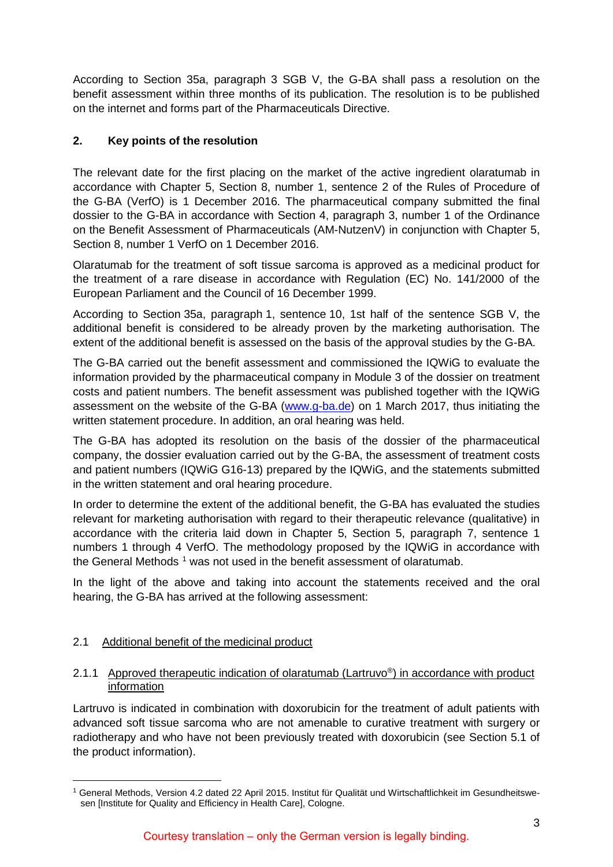According to Section 35a, paragraph 3 SGB V, the G-BA shall pass a resolution on the benefit assessment within three months of its publication. The resolution is to be published on the internet and forms part of the Pharmaceuticals Directive.

# <span id="page-2-0"></span>**2. Key points of the resolution**

The relevant date for the first placing on the market of the active ingredient olaratumab in accordance with Chapter 5, Section 8, number 1, sentence 2 of the Rules of Procedure of the G-BA (VerfO) is 1 December 2016. The pharmaceutical company submitted the final dossier to the G-BA in accordance with Section 4, paragraph 3, number 1 of the Ordinance on the Benefit Assessment of Pharmaceuticals (AM-NutzenV) in conjunction with Chapter 5, Section 8, number 1 VerfO on 1 December 2016.

Olaratumab for the treatment of soft tissue sarcoma is approved as a medicinal product for the treatment of a rare disease in accordance with Regulation (EC) No. 141/2000 of the European Parliament and the Council of 16 December 1999.

According to Section 35a, paragraph 1, sentence 10, 1st half of the sentence SGB V, the additional benefit is considered to be already proven by the marketing authorisation. The extent of the additional benefit is assessed on the basis of the approval studies by the G-BA.

The G-BA carried out the benefit assessment and commissioned the IQWiG to evaluate the information provided by the pharmaceutical company in Module 3 of the dossier on treatment costs and patient numbers. The benefit assessment was published together with the IQWiG assessment on the website of the G-BA [\(www.g-ba.de\)](http://www.g-ba.de/) on 1 March 2017, thus initiating the written statement procedure. In addition, an oral hearing was held.

The G-BA has adopted its resolution on the basis of the dossier of the pharmaceutical company, the dossier evaluation carried out by the G-BA, the assessment of treatment costs and patient numbers (IQWiG G16-13) prepared by the IQWiG, and the statements submitted in the written statement and oral hearing procedure.

In order to determine the extent of the additional benefit, the G-BA has evaluated the studies relevant for marketing authorisation with regard to their therapeutic relevance (qualitative) in accordance with the criteria laid down in Chapter 5, Section 5, paragraph 7, sentence 1 numbers 1 through 4 VerfO. The methodology proposed by the IQWiG in accordance with the General Methods<sup> $1$ </sup> was not used in the benefit assessment of olaratumab.

In the light of the above and taking into account the statements received and the oral hearing, the G-BA has arrived at the following assessment:

# <span id="page-2-1"></span>2.1 Additional benefit of the medicinal product

## <span id="page-2-2"></span>2.1.1 Approved therapeutic indication of olaratumab (Lartruvo®) in accordance with product information

Lartruvo is indicated in combination with doxorubicin for the treatment of adult patients with advanced soft tissue sarcoma who are not amenable to curative treatment with surgery or radiotherapy and who have not been previously treated with doxorubicin (see Section 5.1 of the product information).

<span id="page-2-3"></span> <sup>1</sup> General Methods, Version 4.2 dated 22 April 2015. Institut für Qualität und Wirtschaftlichkeit im Gesundheitswesen [Institute for Quality and Efficiency in Health Care], Cologne.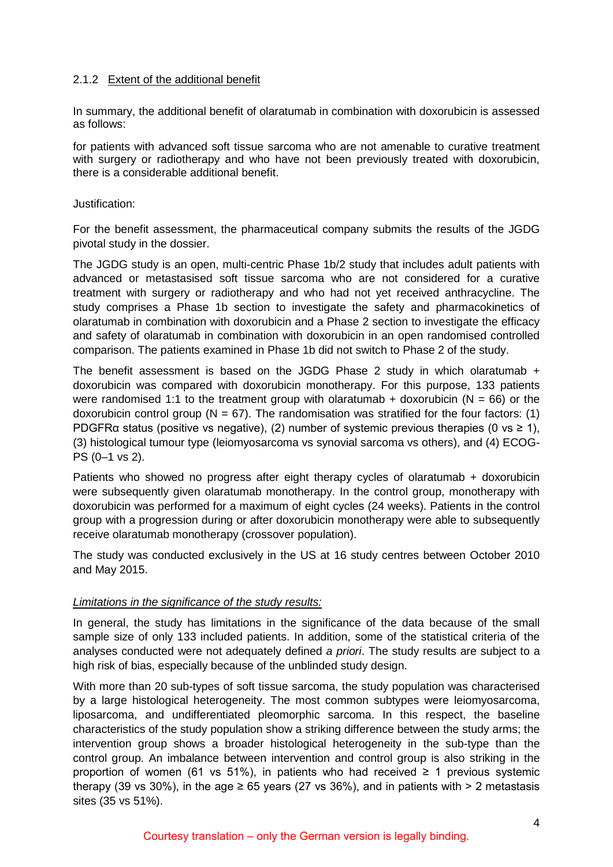### <span id="page-3-0"></span>2.1.2 Extent of the additional benefit

In summary, the additional benefit of olaratumab in combination with doxorubicin is assessed as follows:

for patients with advanced soft tissue sarcoma who are not amenable to curative treatment with surgery or radiotherapy and who have not been previously treated with doxorubicin, there is a considerable additional benefit.

#### Justification:

For the benefit assessment, the pharmaceutical company submits the results of the JGDG pivotal study in the dossier.

The JGDG study is an open, multi-centric Phase 1b/2 study that includes adult patients with advanced or metastasised soft tissue sarcoma who are not considered for a curative treatment with surgery or radiotherapy and who had not yet received anthracycline. The study comprises a Phase 1b section to investigate the safety and pharmacokinetics of olaratumab in combination with doxorubicin and a Phase 2 section to investigate the efficacy and safety of olaratumab in combination with doxorubicin in an open randomised controlled comparison. The patients examined in Phase 1b did not switch to Phase 2 of the study.

The benefit assessment is based on the JGDG Phase 2 study in which olaratumab + doxorubicin was compared with doxorubicin monotherapy. For this purpose, 133 patients were randomised 1:1 to the treatment group with olaratumab + doxorubicin ( $N = 66$ ) or the doxorubicin control group ( $N = 67$ ). The randomisation was stratified for the four factors: (1) PDGFRa status (positive vs negative), (2) number of systemic previous therapies (0 vs  $\geq$  1), (3) histological tumour type (leiomyosarcoma vs synovial sarcoma vs others), and (4) ECOG-PS (0–1 vs 2).

Patients who showed no progress after eight therapy cycles of olaratumab + doxorubicin were subsequently given olaratumab monotherapy. In the control group, monotherapy with doxorubicin was performed for a maximum of eight cycles (24 weeks). Patients in the control group with a progression during or after doxorubicin monotherapy were able to subsequently receive olaratumab monotherapy (crossover population).

The study was conducted exclusively in the US at 16 study centres between October 2010 and May 2015.

#### *Limitations in the significance of the study results:*

In general, the study has limitations in the significance of the data because of the small sample size of only 133 included patients. In addition, some of the statistical criteria of the analyses conducted were not adequately defined *a priori*. The study results are subject to a high risk of bias, especially because of the unblinded study design.

With more than 20 sub-types of soft tissue sarcoma, the study population was characterised by a large histological heterogeneity. The most common subtypes were leiomyosarcoma, liposarcoma, and undifferentiated pleomorphic sarcoma. In this respect, the baseline characteristics of the study population show a striking difference between the study arms; the intervention group shows a broader histological heterogeneity in the sub-type than the control group. An imbalance between intervention and control group is also striking in the proportion of women (61 vs 51%), in patients who had received  $\geq$  1 previous systemic therapy (39 vs 30%), in the age  $\geq 65$  years (27 vs 36%), and in patients with  $> 2$  metastasis sites (35 vs 51%).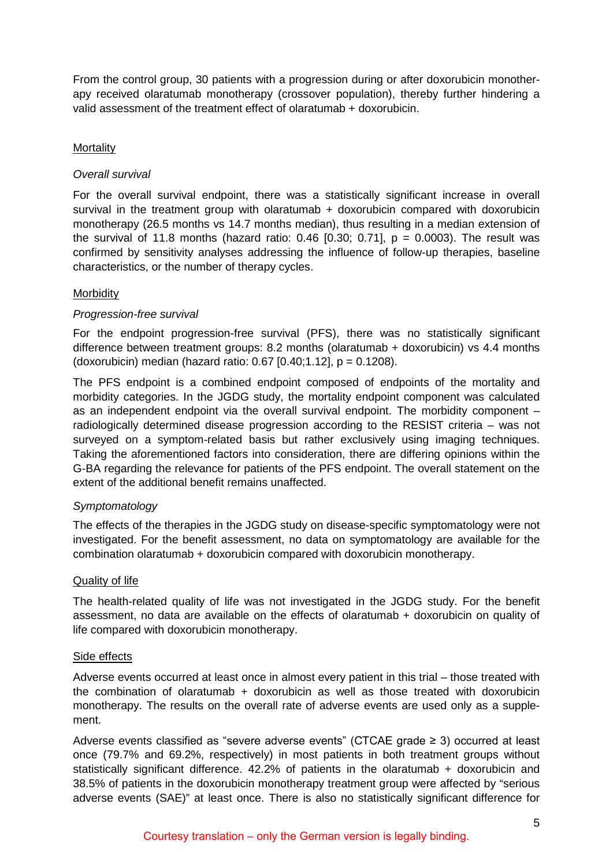From the control group, 30 patients with a progression during or after doxorubicin monotherapy received olaratumab monotherapy (crossover population), thereby further hindering a valid assessment of the treatment effect of olaratumab + doxorubicin.

## **Mortality**

### *Overall survival*

For the overall survival endpoint, there was a statistically significant increase in overall survival in the treatment group with olaratumab  $+$  doxorubicin compared with doxorubicin monotherapy (26.5 months vs 14.7 months median), thus resulting in a median extension of the survival of 11.8 months (hazard ratio: 0.46  $[0.30; 0.71]$ ,  $p = 0.0003$ ). The result was confirmed by sensitivity analyses addressing the influence of follow-up therapies, baseline characteristics, or the number of therapy cycles.

#### **Morbidity**

## *Progression-free survival*

For the endpoint progression-free survival (PFS), there was no statistically significant difference between treatment groups: 8.2 months (olaratumab + doxorubicin) vs 4.4 months (doxorubicin) median (hazard ratio: 0.67 [0.40;1.12], p = 0.1208).

The PFS endpoint is a combined endpoint composed of endpoints of the mortality and morbidity categories. In the JGDG study, the mortality endpoint component was calculated as an independent endpoint via the overall survival endpoint. The morbidity component – radiologically determined disease progression according to the RESIST criteria – was not surveyed on a symptom-related basis but rather exclusively using imaging techniques. Taking the aforementioned factors into consideration, there are differing opinions within the G-BA regarding the relevance for patients of the PFS endpoint. The overall statement on the extent of the additional benefit remains unaffected.

#### *Symptomatology*

The effects of the therapies in the JGDG study on disease-specific symptomatology were not investigated. For the benefit assessment, no data on symptomatology are available for the combination olaratumab + doxorubicin compared with doxorubicin monotherapy.

#### Quality of life

The health-related quality of life was not investigated in the JGDG study. For the benefit assessment, no data are available on the effects of olaratumab + doxorubicin on quality of life compared with doxorubicin monotherapy.

#### Side effects

Adverse events occurred at least once in almost every patient in this trial – those treated with the combination of olaratumab + doxorubicin as well as those treated with doxorubicin monotherapy. The results on the overall rate of adverse events are used only as a supplement.

Adverse events classified as "severe adverse events" (CTCAE grade  $\geq$  3) occurred at least once (79.7% and 69.2%, respectively) in most patients in both treatment groups without statistically significant difference. 42.2% of patients in the olaratumab + doxorubicin and 38.5% of patients in the doxorubicin monotherapy treatment group were affected by "serious adverse events (SAE)" at least once. There is also no statistically significant difference for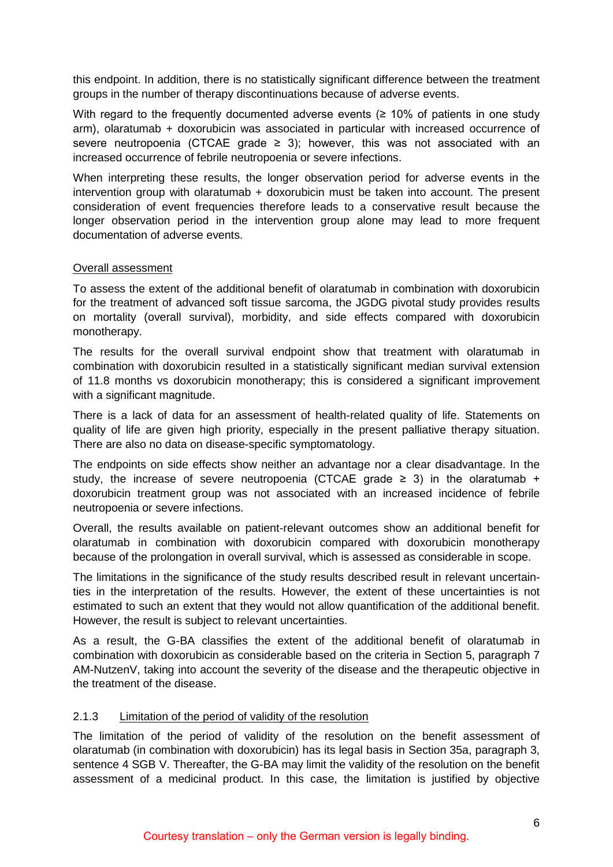this endpoint. In addition, there is no statistically significant difference between the treatment groups in the number of therapy discontinuations because of adverse events.

With regard to the frequently documented adverse events ( $\geq$  10% of patients in one study arm), olaratumab + doxorubicin was associated in particular with increased occurrence of severe neutropoenia (CTCAE grade  $\geq$  3); however, this was not associated with an increased occurrence of febrile neutropoenia or severe infections.

When interpreting these results, the longer observation period for adverse events in the intervention group with olaratumab + doxorubicin must be taken into account. The present consideration of event frequencies therefore leads to a conservative result because the longer observation period in the intervention group alone may lead to more frequent documentation of adverse events.

#### Overall assessment

To assess the extent of the additional benefit of olaratumab in combination with doxorubicin for the treatment of advanced soft tissue sarcoma, the JGDG pivotal study provides results on mortality (overall survival), morbidity, and side effects compared with doxorubicin monotherapy.

The results for the overall survival endpoint show that treatment with olaratumab in combination with doxorubicin resulted in a statistically significant median survival extension of 11.8 months vs doxorubicin monotherapy; this is considered a significant improvement with a significant magnitude.

There is a lack of data for an assessment of health-related quality of life. Statements on quality of life are given high priority, especially in the present palliative therapy situation. There are also no data on disease-specific symptomatology.

The endpoints on side effects show neither an advantage nor a clear disadvantage. In the study, the increase of severe neutropoenia (CTCAE grade  $\geq$  3) in the olaratumab + doxorubicin treatment group was not associated with an increased incidence of febrile neutropoenia or severe infections.

Overall, the results available on patient-relevant outcomes show an additional benefit for olaratumab in combination with doxorubicin compared with doxorubicin monotherapy because of the prolongation in overall survival, which is assessed as considerable in scope.

The limitations in the significance of the study results described result in relevant uncertainties in the interpretation of the results. However, the extent of these uncertainties is not estimated to such an extent that they would not allow quantification of the additional benefit. However, the result is subject to relevant uncertainties.

As a result, the G-BA classifies the extent of the additional benefit of olaratumab in combination with doxorubicin as considerable based on the criteria in Section 5, paragraph 7 AM-NutzenV, taking into account the severity of the disease and the therapeutic objective in the treatment of the disease.

## <span id="page-5-0"></span>2.1.3 Limitation of the period of validity of the resolution

The limitation of the period of validity of the resolution on the benefit assessment of olaratumab (in combination with doxorubicin) has its legal basis in Section 35a, paragraph 3, sentence 4 SGB V. Thereafter, the G-BA may limit the validity of the resolution on the benefit assessment of a medicinal product. In this case, the limitation is justified by objective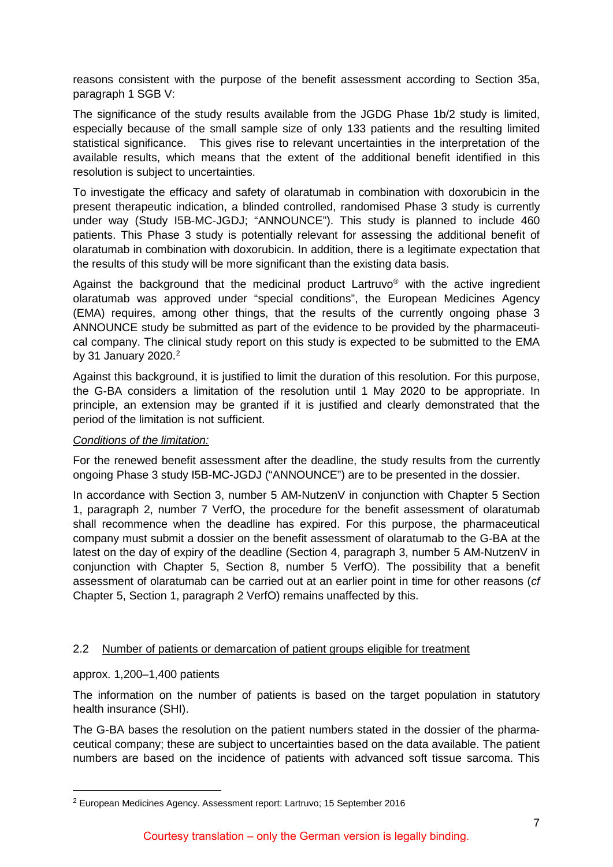reasons consistent with the purpose of the benefit assessment according to Section 35a, paragraph 1 SGB V:

The significance of the study results available from the JGDG Phase 1b/2 study is limited, especially because of the small sample size of only 133 patients and the resulting limited statistical significance. This gives rise to relevant uncertainties in the interpretation of the available results, which means that the extent of the additional benefit identified in this resolution is subject to uncertainties.

To investigate the efficacy and safety of olaratumab in combination with doxorubicin in the present therapeutic indication, a blinded controlled, randomised Phase 3 study is currently under way (Study I5B-MC-JGDJ; "ANNOUNCE"). This study is planned to include 460 patients. This Phase 3 study is potentially relevant for assessing the additional benefit of olaratumab in combination with doxorubicin. In addition, there is a legitimate expectation that the results of this study will be more significant than the existing data basis.

Against the background that the medicinal product Lartruvo® with the active ingredient olaratumab was approved under "special conditions", the European Medicines Agency (EMA) requires, among other things, that the results of the currently ongoing phase 3 ANNOUNCE study be submitted as part of the evidence to be provided by the pharmaceutical company. The clinical study report on this study is expected to be submitted to the EMA by 31 January [2](#page-6-1)020. $2$ 

Against this background, it is justified to limit the duration of this resolution. For this purpose, the G-BA considers a limitation of the resolution until 1 May 2020 to be appropriate. In principle, an extension may be granted if it is justified and clearly demonstrated that the period of the limitation is not sufficient.

#### *Conditions of the limitation:*

For the renewed benefit assessment after the deadline, the study results from the currently ongoing Phase 3 study I5B-MC-JGDJ ("ANNOUNCE") are to be presented in the dossier.

In accordance with Section 3, number 5 AM-NutzenV in conjunction with Chapter 5 Section 1, paragraph 2, number 7 VerfO, the procedure for the benefit assessment of olaratumab shall recommence when the deadline has expired. For this purpose, the pharmaceutical company must submit a dossier on the benefit assessment of olaratumab to the G-BA at the latest on the day of expiry of the deadline (Section 4, paragraph 3, number 5 AM-NutzenV in conjunction with Chapter 5, Section 8, number 5 VerfO). The possibility that a benefit assessment of olaratumab can be carried out at an earlier point in time for other reasons (*cf* Chapter 5, Section 1, paragraph 2 VerfO) remains unaffected by this.

## <span id="page-6-0"></span>2.2 Number of patients or demarcation of patient groups eligible for treatment

approx. 1,200–1,400 patients

The information on the number of patients is based on the target population in statutory health insurance (SHI).

The G-BA bases the resolution on the patient numbers stated in the dossier of the pharmaceutical company; these are subject to uncertainties based on the data available. The patient numbers are based on the incidence of patients with advanced soft tissue sarcoma. This

<span id="page-6-1"></span> <sup>2</sup> European Medicines Agency. Assessment report: Lartruvo; 15 September 2016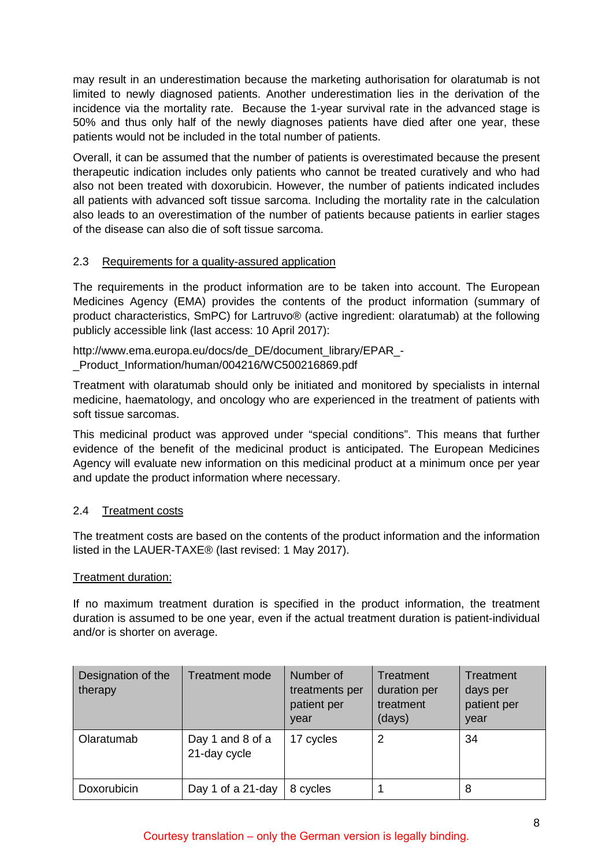may result in an underestimation because the marketing authorisation for olaratumab is not limited to newly diagnosed patients. Another underestimation lies in the derivation of the incidence via the mortality rate. Because the 1-year survival rate in the advanced stage is 50% and thus only half of the newly diagnoses patients have died after one year, these patients would not be included in the total number of patients.

Overall, it can be assumed that the number of patients is overestimated because the present therapeutic indication includes only patients who cannot be treated curatively and who had also not been treated with doxorubicin. However, the number of patients indicated includes all patients with advanced soft tissue sarcoma. Including the mortality rate in the calculation also leads to an overestimation of the number of patients because patients in earlier stages of the disease can also die of soft tissue sarcoma.

## <span id="page-7-0"></span>2.3 Requirements for a quality-assured application

The requirements in the product information are to be taken into account. The European Medicines Agency (EMA) provides the contents of the product information (summary of product characteristics, SmPC) for Lartruvo® (active ingredient: olaratumab) at the following publicly accessible link (last access: 10 April 2017):

http://www.ema.europa.eu/docs/de\_DE/document\_library/EPAR\_- \_Product\_Information/human/004216/WC500216869.pdf

Treatment with olaratumab should only be initiated and monitored by specialists in internal medicine, haematology, and oncology who are experienced in the treatment of patients with soft tissue sarcomas.

This medicinal product was approved under "special conditions". This means that further evidence of the benefit of the medicinal product is anticipated. The European Medicines Agency will evaluate new information on this medicinal product at a minimum once per year and update the product information where necessary.

## <span id="page-7-1"></span>2.4 Treatment costs

The treatment costs are based on the contents of the product information and the information listed in the LAUER-TAXE® (last revised: 1 May 2017).

#### Treatment duration:

If no maximum treatment duration is specified in the product information, the treatment duration is assumed to be one year, even if the actual treatment duration is patient-individual and/or is shorter on average.

| Designation of the<br>therapy | <b>Treatment mode</b>            | Number of<br>treatments per<br>patient per<br>year | Treatment<br>duration per<br>treatment<br>(days) | Treatment<br>days per<br>patient per<br>year |
|-------------------------------|----------------------------------|----------------------------------------------------|--------------------------------------------------|----------------------------------------------|
| Olaratumab                    | Day 1 and 8 of a<br>21-day cycle | 17 cycles                                          | 2                                                | 34                                           |
| Doxorubicin                   | Day 1 of a 21-day                | 8 cycles                                           |                                                  | 8                                            |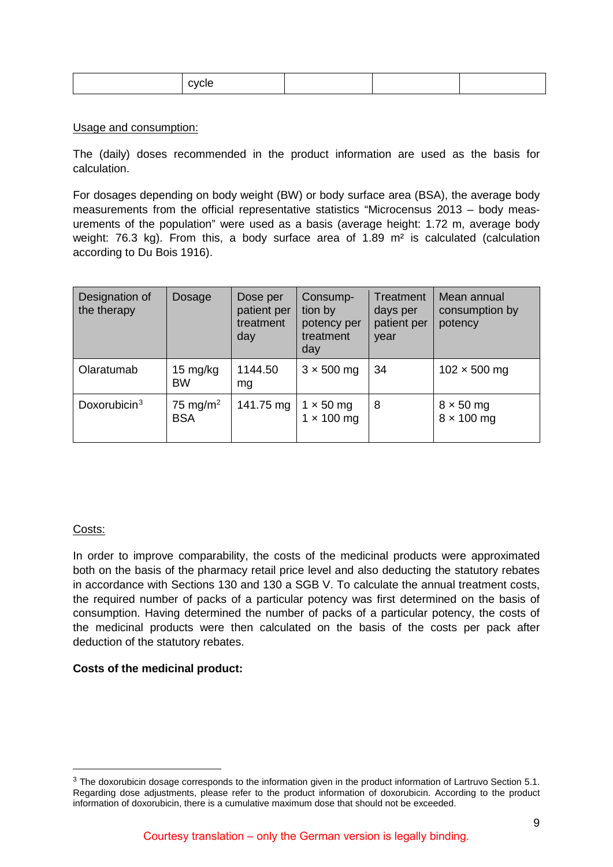| . |  |  |  |
|---|--|--|--|
|---|--|--|--|

#### Usage and consumption:

The (daily) doses recommended in the product information are used as the basis for calculation.

For dosages depending on body weight (BW) or body surface area (BSA), the average body measurements from the official representative statistics "Microcensus 2013 – body measurements of the population" were used as a basis (average height: 1.72 m, average body weight: 76.3 kg). From this, a body surface area of 1.89 m² is calculated (calculation according to Du Bois 1916).

| Designation of<br>the therapy | Dosage                             | Dose per<br>patient per<br>treatment<br>day | Consump-<br>tion by<br>potency per<br>treatment<br>day | Treatment<br>days per<br>patient per<br>year | Mean annual<br>consumption by<br>potency |
|-------------------------------|------------------------------------|---------------------------------------------|--------------------------------------------------------|----------------------------------------------|------------------------------------------|
| Olaratumab                    | 15 mg/kg<br><b>BW</b>              | 1144.50<br>ma                               | $3 \times 500$ mg                                      | 34                                           | $102 \times 500$ mg                      |
| Doxorubicin $3$               | 75 mg/m <sup>2</sup><br><b>BSA</b> | 141.75 mg                                   | $1 \times 50$ mg<br>$1 \times 100$ mg                  | 8                                            | $8 \times 50$ mg<br>$8 \times 100$ mg    |

#### Costs:

In order to improve comparability, the costs of the medicinal products were approximated both on the basis of the pharmacy retail price level and also deducting the statutory rebates in accordance with Sections 130 and 130 a SGB V. To calculate the annual treatment costs, the required number of packs of a particular potency was first determined on the basis of consumption. Having determined the number of packs of a particular potency, the costs of the medicinal products were then calculated on the basis of the costs per pack after deduction of the statutory rebates.

#### **Costs of the medicinal product:**

<span id="page-8-0"></span><sup>&</sup>lt;sup>3</sup> The doxorubicin dosage corresponds to the information given in the product information of Lartruvo Section 5.1. Regarding dose adjustments, please refer to the product information of doxorubicin. According to the product information of doxorubicin, there is a cumulative maximum dose that should not be exceeded.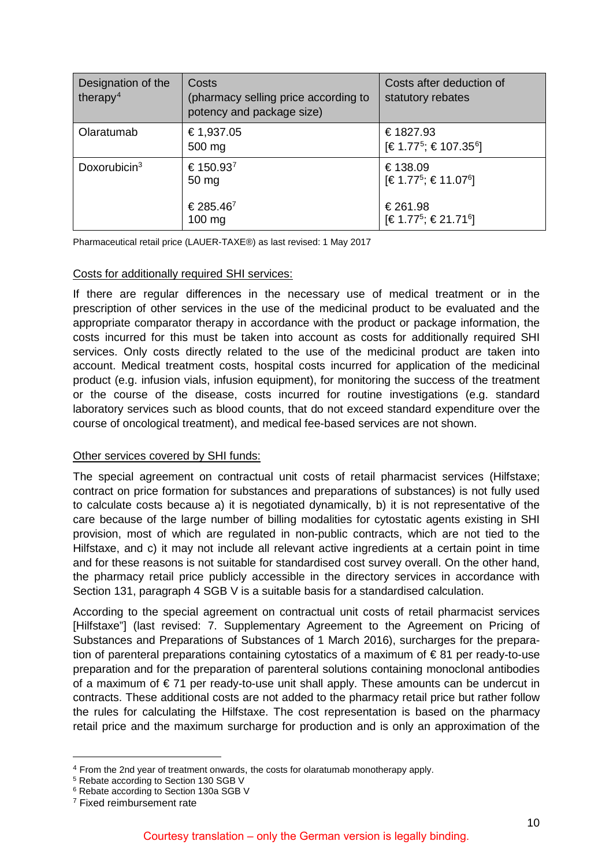| Designation of the<br>therapy <sup>4</sup> | Costs<br>(pharmacy selling price according to<br>potency and package size) | Costs after deduction of<br>statutory rebates              |
|--------------------------------------------|----------------------------------------------------------------------------|------------------------------------------------------------|
| Olaratumab                                 | € 1,937.05<br>500 mg                                                       | €1827.93<br>[€ 1.77 <sup>5</sup> ; € 107.35 <sup>6</sup> ] |
| Doxorubicin $3$                            | € 150.93 <sup>7</sup><br>50 mg                                             | €138.09<br>[€ 1.77 <sup>5</sup> ; € 11.07 <sup>6</sup> ]   |
|                                            | € 285.46 <sup>7</sup><br>$100$ mg                                          | €261.98<br>[€ 1.77 <sup>5</sup> ; € 21.71 <sup>6</sup> ]   |

Pharmaceutical retail price (LAUER-TAXE®) as last revised: 1 May 2017

#### Costs for additionally required SHI services:

If there are regular differences in the necessary use of medical treatment or in the prescription of other services in the use of the medicinal product to be evaluated and the appropriate comparator therapy in accordance with the product or package information, the costs incurred for this must be taken into account as costs for additionally required SHI services. Only costs directly related to the use of the medicinal product are taken into account. Medical treatment costs, hospital costs incurred for application of the medicinal product (e.g. infusion vials, infusion equipment), for monitoring the success of the treatment or the course of the disease, costs incurred for routine investigations (e.g. standard laboratory services such as blood counts, that do not exceed standard expenditure over the course of oncological treatment), and medical fee-based services are not shown.

## Other services covered by SHI funds:

The special agreement on contractual unit costs of retail pharmacist services (Hilfstaxe; contract on price formation for substances and preparations of substances) is not fully used to calculate costs because a) it is negotiated dynamically, b) it is not representative of the care because of the large number of billing modalities for cytostatic agents existing in SHI provision, most of which are regulated in non-public contracts, which are not tied to the Hilfstaxe, and c) it may not include all relevant active ingredients at a certain point in time and for these reasons is not suitable for standardised cost survey overall. On the other hand, the pharmacy retail price publicly accessible in the directory services in accordance with Section 131, paragraph 4 SGB V is a suitable basis for a standardised calculation.

According to the special agreement on contractual unit costs of retail pharmacist services [Hilfstaxe"] (last revised: 7. Supplementary Agreement to the Agreement on Pricing of Substances and Preparations of Substances of 1 March 2016), surcharges for the preparation of parenteral preparations containing cytostatics of a maximum of € 81 per ready-to-use preparation and for the preparation of parenteral solutions containing monoclonal antibodies of a maximum of  $\epsilon$  71 per ready-to-use unit shall apply. These amounts can be undercut in contracts. These additional costs are not added to the pharmacy retail price but rather follow the rules for calculating the Hilfstaxe. The cost representation is based on the pharmacy retail price and the maximum surcharge for production and is only an approximation of the

<span id="page-9-0"></span> <sup>4</sup> From the 2nd year of treatment onwards, the costs for olaratumab monotherapy apply.

<span id="page-9-1"></span><sup>5</sup> Rebate according to Section 130 SGB V

<span id="page-9-2"></span><sup>6</sup> Rebate according to Section 130a SGB V

<span id="page-9-3"></span><sup>7</sup> Fixed reimbursement rate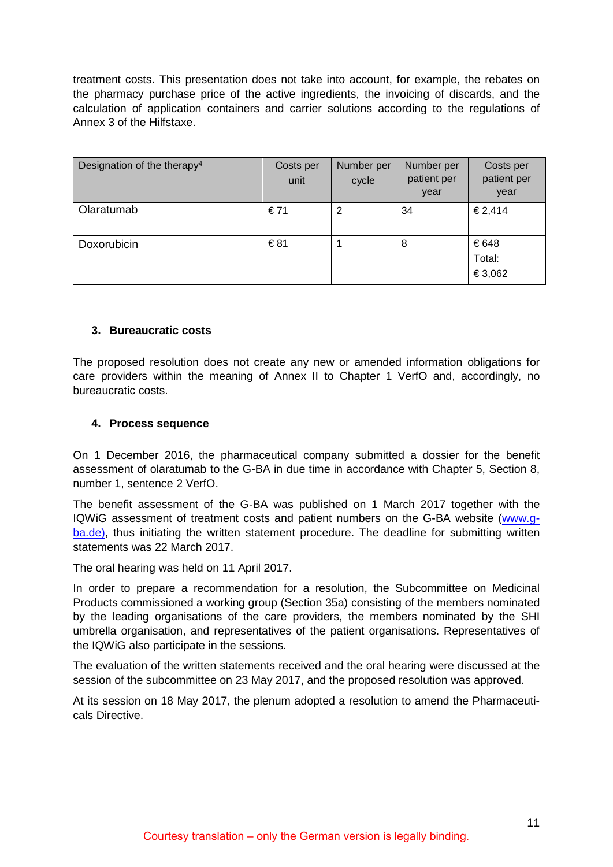treatment costs. This presentation does not take into account, for example, the rebates on the pharmacy purchase price of the active ingredients, the invoicing of discards, and the calculation of application containers and carrier solutions according to the regulations of Annex 3 of the Hilfstaxe.

| Designation of the therapy <sup>4</sup> | Costs per<br>unit | Number per<br>cycle | Number per<br>patient per<br>year | Costs per<br>patient per<br>year |
|-----------------------------------------|-------------------|---------------------|-----------------------------------|----------------------------------|
| Olaratumab                              | €71               | 2                   | 34                                | €2,414                           |
| Doxorubicin                             | €81               |                     | 8                                 | €648<br>Total:<br>€3,062         |

#### <span id="page-10-0"></span>**3. Bureaucratic costs**

The proposed resolution does not create any new or amended information obligations for care providers within the meaning of Annex II to Chapter 1 VerfO and, accordingly, no bureaucratic costs.

#### <span id="page-10-1"></span>**4. Process sequence**

On 1 December 2016, the pharmaceutical company submitted a dossier for the benefit assessment of olaratumab to the G-BA in due time in accordance with Chapter 5, Section 8, number 1, sentence 2 VerfO.

The benefit assessment of the G-BA was published on 1 March 2017 together with the IQWiG assessment of treatment costs and patient numbers on the G-BA website [\(www.g](http://www.g-ba.de/)[ba.de\),](http://www.g-ba.de/) thus initiating the written statement procedure. The deadline for submitting written statements was 22 March 2017.

The oral hearing was held on 11 April 2017.

In order to prepare a recommendation for a resolution, the Subcommittee on Medicinal Products commissioned a working group (Section 35a) consisting of the members nominated by the leading organisations of the care providers, the members nominated by the SHI umbrella organisation, and representatives of the patient organisations. Representatives of the IQWiG also participate in the sessions.

The evaluation of the written statements received and the oral hearing were discussed at the session of the subcommittee on 23 May 2017, and the proposed resolution was approved.

At its session on 18 May 2017, the plenum adopted a resolution to amend the Pharmaceuticals Directive.